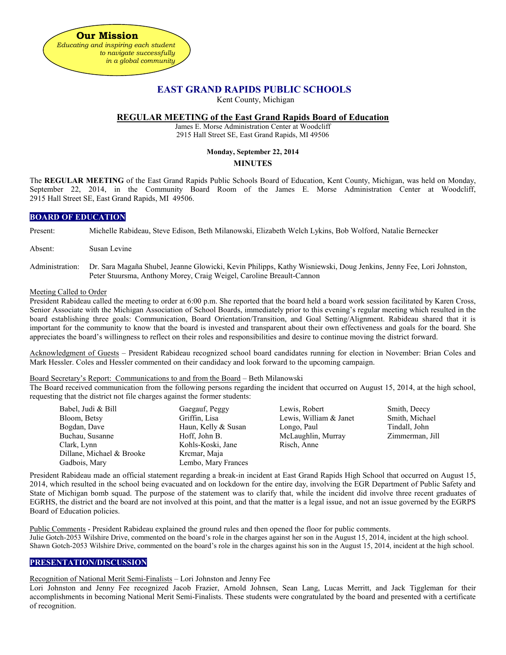

# **EAST GRAND RAPIDS PUBLIC SCHOOLS**

Kent County, Michigan

## **REGULAR MEETING of the East Grand Rapids Board of Education**

James E. Morse Administration Center at Woodcliff 2915 Hall Street SE, East Grand Rapids, MI 49506

## **Monday, September 22, 2014**

## **MINUTES**

The **REGULAR MEETING** of the East Grand Rapids Public Schools Board of Education, Kent County, Michigan, was held on Monday, September 22, 2014, in the Community Board Room of the James E. Morse Administration Center at Woodcliff, 2915 Hall Street SE, East Grand Rapids, MI 49506.

## **BOARD OF EDUCATION**

Present: Michelle Rabideau, Steve Edison, Beth Milanowski, Elizabeth Welch Lykins, Bob Wolford, Natalie Bernecker

- Absent: Susan Levine
- Administration: Dr. Sara Magaña Shubel, Jeanne Glowicki, Kevin Philipps, Kathy Wisniewski, Doug Jenkins, Jenny Fee, Lori Johnston, Peter Stuursma, Anthony Morey, Craig Weigel, Caroline Breault-Cannon

#### Meeting Called to Order

President Rabideau called the meeting to order at 6:00 p.m. She reported that the board held a board work session facilitated by Karen Cross, Senior Associate with the Michigan Association of School Boards, immediately prior to this evening's regular meeting which resulted in the board establishing three goals: Communication, Board Orientation/Transition, and Goal Setting/Alignment. Rabideau shared that it is important for the community to know that the board is invested and transparent about their own effectiveness and goals for the board. She appreciates the board's willingness to reflect on their roles and responsibilities and desire to continue moving the district forward.

Acknowledgment of Guests – President Rabideau recognized school board candidates running for election in November: Brian Coles and Mark Hessler. Coles and Hessler commented on their candidacy and look forward to the upcoming campaign.

#### Board Secretary's Report: Communications to and from the Board – Beth Milanowski

The Board received communication from the following persons regarding the incident that occurred on August 15, 2014, at the high school, requesting that the district not file charges against the former students:

| Babel, Judi & Bill        | Gaegauf, Peggy      | Lewis, Robert          | Smith, Deecy    |
|---------------------------|---------------------|------------------------|-----------------|
| Bloom, Betsy              | Griffin, Lisa       | Lewis, William & Janet | Smith, Michael  |
| Bogdan, Dave              | Haun, Kelly & Susan | Longo, Paul            | Tindall, John   |
| Buchau, Susanne           | Hoff, John B.       | McLaughlin, Murray     | Zimmerman, Jill |
| Clark, Lynn               | Kohls-Koski, Jane   | Risch, Anne            |                 |
| Dillane, Michael & Brooke | Kremar, Maja        |                        |                 |
| Gadbois, Mary             | Lembo, Mary Frances |                        |                 |

President Rabideau made an official statement regarding a break-in incident at East Grand Rapids High School that occurred on August 15, 2014, which resulted in the school being evacuated and on lockdown for the entire day, involving the EGR Department of Public Safety and State of Michigan bomb squad. The purpose of the statement was to clarify that, while the incident did involve three recent graduates of EGRHS, the district and the board are not involved at this point, and that the matter is a legal issue, and not an issue governed by the EGRPS Board of Education policies.

Public Comments - President Rabideau explained the ground rules and then opened the floor for public comments. Julie Gotch-2053 Wilshire Drive, commented on the board's role in the charges against her son in the August 15, 2014, incident at the high school. Shawn Gotch-2053 Wilshire Drive, commented on the board's role in the charges against his son in the August 15, 2014, incident at the high school.

## **PRESENTATION/DISCUSSION**

## Recognition of National Merit Semi-Finalists – Lori Johnston and Jenny Fee

Lori Johnston and Jenny Fee recognized Jacob Frazier, Arnold Johnsen, Sean Lang, Lucas Merritt, and Jack Tiggleman for their accomplishments in becoming National Merit Semi-Finalists. These students were congratulated by the board and presented with a certificate of recognition.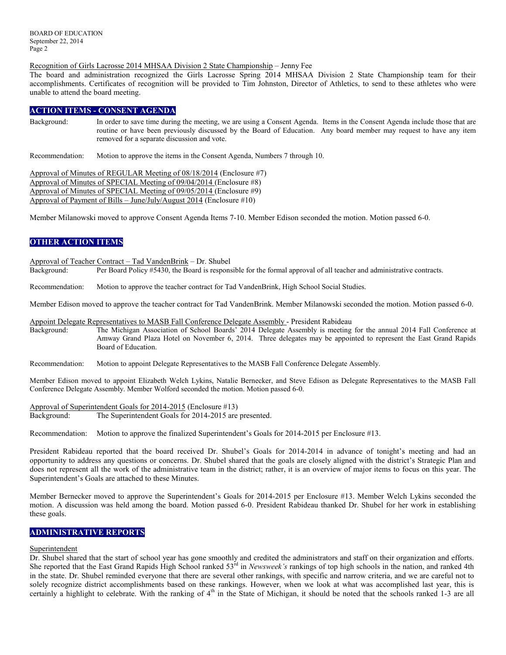#### Recognition of Girls Lacrosse 2014 MHSAA Division 2 State Championship – Jenny Fee

The board and administration recognized the Girls Lacrosse Spring 2014 MHSAA Division 2 State Championship team for their accomplishments. Certificates of recognition will be provided to Tim Johnston, Director of Athletics, to send to these athletes who were unable to attend the board meeting.

## **ACTION ITEMS - CONSENT AGENDA**

Background: In order to save time during the meeting, we are using a Consent Agenda. Items in the Consent Agenda include those that are routine or have been previously discussed by the Board of Education. Any board member may request to have any item removed for a separate discussion and vote.

Recommendation: Motion to approve the items in the Consent Agenda, Numbers 7 through 10.

Approval of Minutes of REGULAR Meeting of 08/18/2014 (Enclosure #7) Approval of Minutes of SPECIAL Meeting of 09/04/2014 (Enclosure #8) Approval of Minutes of SPECIAL Meeting of 09/05/2014 (Enclosure #9) Approval of Payment of Bills – June/July/August 2014 (Enclosure #10)

Member Milanowski moved to approve Consent Agenda Items 7-10. Member Edison seconded the motion. Motion passed 6-0.

## **OTHER ACTION ITEMS**

Approval of Teacher Contract – Tad VandenBrink – Dr. Shubel

Background: Per Board Policy #5430, the Board is responsible for the formal approval of all teacher and administrative contracts.

Recommendation: Motion to approve the teacher contract for Tad VandenBrink, High School Social Studies.

Member Edison moved to approve the teacher contract for Tad VandenBrink. Member Milanowski seconded the motion. Motion passed 6-0.

Appoint Delegate Representatives to MASB Fall Conference Delegate Assembly - President Rabideau

Background: The Michigan Association of School Boards' 2014 Delegate Assembly is meeting for the annual 2014 Fall Conference at Amway Grand Plaza Hotel on November 6, 2014. Three delegates may be appointed to represent the East Grand Rapids Board of Education.

Recommendation: Motion to appoint Delegate Representatives to the MASB Fall Conference Delegate Assembly.

Member Edison moved to appoint Elizabeth Welch Lykins, Natalie Bernecker, and Steve Edison as Delegate Representatives to the MASB Fall Conference Delegate Assembly. Member Wolford seconded the motion. Motion passed 6-0.

Approval of Superintendent Goals for 2014-2015 (Enclosure #13) Background: The Superintendent Goals for 2014-2015 are presented.

Recommendation: Motion to approve the finalized Superintendent's Goals for 2014-2015 per Enclosure #13.

President Rabideau reported that the board received Dr. Shubel's Goals for 2014-2014 in advance of tonight's meeting and had an opportunity to address any questions or concerns. Dr. Shubel shared that the goals are closely aligned with the district's Strategic Plan and does not represent all the work of the administrative team in the district; rather, it is an overview of major items to focus on this year. The Superintendent's Goals are attached to these Minutes.

Member Bernecker moved to approve the Superintendent's Goals for 2014-2015 per Enclosure #13. Member Welch Lykins seconded the motion. A discussion was held among the board. Motion passed 6-0. President Rabideau thanked Dr. Shubel for her work in establishing these goals.

## **ADMINISTRATIVE REPORTS**

## Superintendent

Dr. Shubel shared that the start of school year has gone smoothly and credited the administrators and staff on their organization and efforts. She reported that the East Grand Rapids High School ranked 53<sup>rd</sup> in *Newsweek's* rankings of top high schools in the nation, and ranked 4th in the state. Dr. Shubel reminded everyone that there are several other rankings, with specific and narrow criteria, and we are careful not to solely recognize district accomplishments based on these rankings. However, when we look at what was accomplished last year, this is certainly a highlight to celebrate. With the ranking of 4<sup>th</sup> in the State of Michigan, it should be noted that the schools ranked 1-3 are all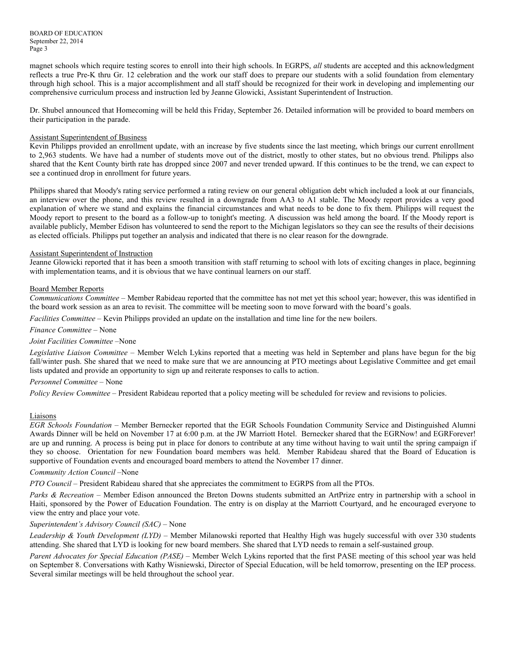BOARD OF EDUCATION September 22, 2014 Page 3

magnet schools which require testing scores to enroll into their high schools. In EGRPS, *all* students are accepted and this acknowledgment reflects a true Pre-K thru Gr. 12 celebration and the work our staff does to prepare our students with a solid foundation from elementary through high school. This is a major accomplishment and all staff should be recognized for their work in developing and implementing our comprehensive curriculum process and instruction led by Jeanne Glowicki, Assistant Superintendent of Instruction.

Dr. Shubel announced that Homecoming will be held this Friday, September 26. Detailed information will be provided to board members on their participation in the parade.

## Assistant Superintendent of Business

Kevin Philipps provided an enrollment update, with an increase by five students since the last meeting, which brings our current enrollment to 2,963 students. We have had a number of students move out of the district, mostly to other states, but no obvious trend. Philipps also shared that the Kent County birth rate has dropped since 2007 and never trended upward. If this continues to be the trend, we can expect to see a continued drop in enrollment for future years.

Philipps shared that Moody's rating service performed a rating review on our general obligation debt which included a look at our financials, an interview over the phone, and this review resulted in a downgrade from AA3 to A1 stable. The Moody report provides a very good explanation of where we stand and explains the financial circumstances and what needs to be done to fix them. Philipps will request the Moody report to present to the board as a follow-up to tonight's meeting. A discussion was held among the board. If the Moody report is available publicly, Member Edison has volunteered to send the report to the Michigan legislators so they can see the results of their decisions as elected officials. Philipps put together an analysis and indicated that there is no clear reason for the downgrade.

#### Assistant Superintendent of Instruction

Jeanne Glowicki reported that it has been a smooth transition with staff returning to school with lots of exciting changes in place, beginning with implementation teams, and it is obvious that we have continual learners on our staff.

#### Board Member Reports

*Communications Committee –* Member Rabideau reported that the committee has not met yet this school year; however, this was identified in the board work session as an area to revisit. The committee will be meeting soon to move forward with the board's goals.

*Facilities Committee –* Kevin Philipps provided an update on the installation and time line for the new boilers.

## *Finance Committee –* None

#### *Joint Facilities Committee –*None

*Legislative Liaison Committee* – Member Welch Lykins reported that a meeting was held in September and plans have begun for the big fall/winter push. She shared that we need to make sure that we are announcing at PTO meetings about Legislative Committee and get email lists updated and provide an opportunity to sign up and reiterate responses to calls to action.

## *Personnel Committee –* None

*Policy Review Committee –* President Rabideau reported that a policy meeting will be scheduled for review and revisions to policies.

#### Liaisons

*EGR Schools Foundation –* Member Bernecker reported that the EGR Schools Foundation Community Service and Distinguished Alumni Awards Dinner will be held on November 17 at 6:00 p.m. at the JW Marriott Hotel. Bernecker shared that the EGRNow! and EGRForever! are up and running. A process is being put in place for donors to contribute at any time without having to wait until the spring campaign if they so choose. Orientation for new Foundation board members was held. Member Rabideau shared that the Board of Education is supportive of Foundation events and encouraged board members to attend the November 17 dinner.

#### *Community Action Council –*None

*PTO Council –* President Rabideau shared that she appreciates the commitment to EGRPS from all the PTOs.

*Parks & Recreation* – Member Edison announced the Breton Downs students submitted an ArtPrize entry in partnership with a school in Haiti, sponsored by the Power of Education Foundation. The entry is on display at the Marriott Courtyard, and he encouraged everyone to view the entry and place your vote.

## *Superintendent's Advisory Council (SAC) –* None

*Leadership & Youth Development (LYD) –* Member Milanowski reported that Healthy High was hugely successful with over 330 students attending. She shared that LYD is looking for new board members. She shared that LYD needs to remain a self-sustained group.

*Parent Advocates for Special Education (PASE) –* Member Welch Lykins reported that the first PASE meeting of this school year was held on September 8. Conversations with Kathy Wisniewski, Director of Special Education, will be held tomorrow, presenting on the IEP process. Several similar meetings will be held throughout the school year.